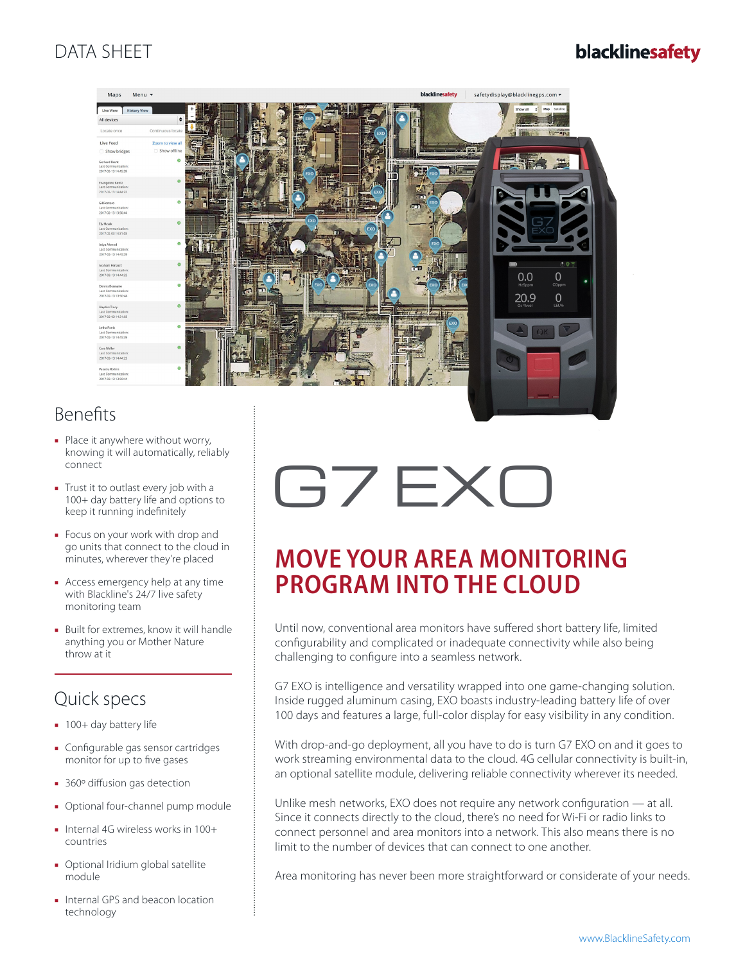## DATA SHEET

## blacklinesafety



## Benefits

- Place it anywhere without worry, knowing it will automatically, reliably connect
- Trust it to outlast every job with a 100+ day battery life and options to keep it running indefinitely
- Focus on your work with drop and go units that connect to the cloud in minutes, wherever they're placed
- Access emergency help at any time with Blackline's 24/7 live safety monitoring team
- Built for extremes, know it will handle anything you or Mother Nature throw at it

## Quick specs

- 100+ day battery life
- Configurable gas sensor cartridges monitor for up to five gases
- 360° diffusion gas detection
- Optional four-channel pump module
- Internal 4G wireless works in 100+ countries
- Optional Iridium global satellite module
- Internal GPS and beacon location technology

# G7 EXO

## **MOVE YOUR AREA MONITORING PROGRAM INTO THE CLOUD**

Until now, conventional area monitors have suffered short battery life, limited configurability and complicated or inadequate connectivity while also being challenging to configure into a seamless network.

G7 EXO is intelligence and versatility wrapped into one game-changing solution. Inside rugged aluminum casing, EXO boasts industry-leading battery life of over 100 days and features a large, full-color display for easy visibility in any condition.

With drop-and-go deployment, all you have to do is turn G7 EXO on and it goes to work streaming environmental data to the cloud. 4G cellular connectivity is built-in, an optional satellite module, delivering reliable connectivity wherever its needed.

Unlike mesh networks, EXO does not require any network configuration — at all. Since it connects directly to the cloud, there's no need for Wi-Fi or radio links to connect personnel and area monitors into a network. This also means there is no limit to the number of devices that can connect to one another.

Area monitoring has never been more straightforward or considerate of your needs.